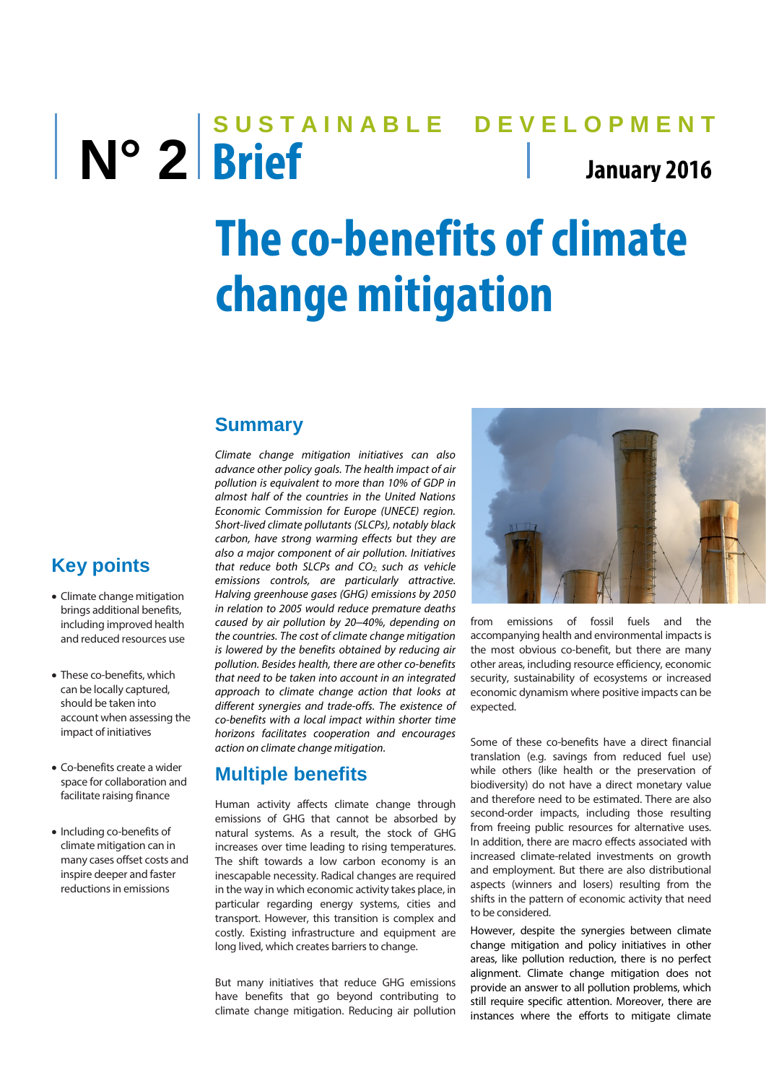# **SUSTAINABLE DEVELOPMENT N° 2 Brief January <sup>2016</sup> The co-benefits of climate change mitigation**

### **Summary**

*Climate change mitigation initiatives can also advance other policy goals. The health impact of air pollution is equivalent to more than 10% of GDP in almost half of the countries in the United Nations Economic Commission for Europe (UNECE) region. Short-lived climate pollutants (SLCPs), notably black carbon, have strong warming effects but they are also a major component of air pollution. Initiatives that reduce both SLCPs and CO2, such as vehicle emissions controls, are particularly attractive. Halving greenhouse gases (GHG) emissions by 2050 in relation to 2005 would reduce premature deaths caused by air pollution by 20–40%, depending on the countries. The cost of climate change mitigation is lowered by the benefits obtained by reducing air pollution. Besides health, there are other co-benefits that need to be taken into account in an integrated approach to climate change action that looks at different synergies and trade-offs. The existence of co-benefits with a local impact within shorter time horizons facilitates cooperation and encourages action on climate change mitigation.*

#### **Multiple benefits**

Human activity affects climate change through emissions of GHG that cannot be absorbed by natural systems. As a result, the stock of GHG increases over time leading to rising temperatures. The shift towards a low carbon economy is an inescapable necessity. Radical changes are required in the way in which economic activity takes place, in particular regarding energy systems, cities and transport. However, this transition is complex and costly. Existing infrastructure and equipment are long lived, which creates barriers to change.

But many initiatives that reduce GHG emissions have benefits that go beyond contributing to climate change mitigation. Reducing air pollution



from emissions of fossil fuels and the accompanying health and environmental impacts is the most obvious co-benefit, but there are many other areas, including resource efficiency, economic security, sustainability of ecosystems or increased economic dynamism where positive impacts can be expected.

Some of these co-benefits have a direct financial translation (e.g. savings from reduced fuel use) while others (like health or the preservation of biodiversity) do not have a direct monetary value and therefore need to be estimated. There are also second-order impacts, including those resulting from freeing public resources for alternative uses. In addition, there are macro effects associated with increased climate-related investments on growth and employment. But there are also distributional aspects (winners and losers) resulting from the shifts in the pattern of economic activity that need to be considered.

However, despite the synergies between climate change mitigation and policy initiatives in other areas, like pollution reduction, there is no perfect alignment. Climate change mitigation does not provide an answer to all pollution problems, which still require specific attention. Moreover, there are instances where the efforts to mitigate climate

## **Key points**

- Climate change mitigation brings additional benefits, including improved health and reduced resources use
- These co-benefits, which can be locally captured, should be taken into account when assessing the impact of initiatives
- Co-benefits create a wider space for collaboration and facilitate raising finance
- Including co-benefits of climate mitigation can in many cases offset costs and inspire deeper and faster reductions in emissions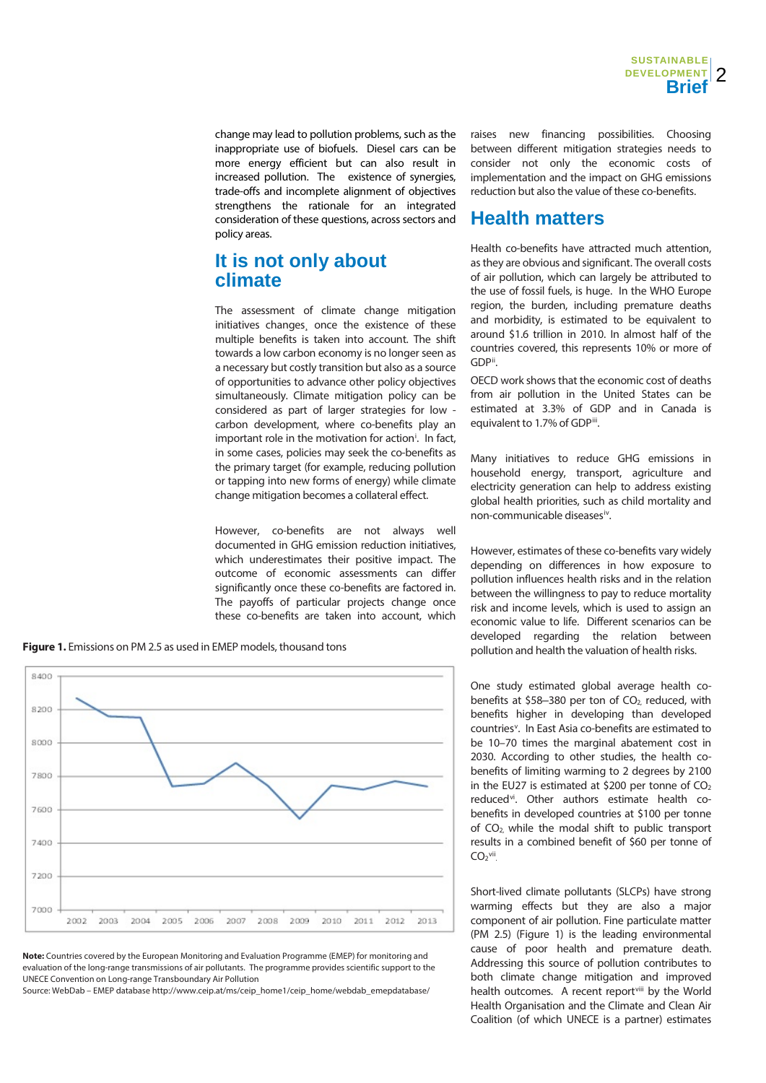change may lead to pollution problems, such as the inappropriate use of biofuels. Diesel cars can be more energy efficient but can also result in increased pollution. The existence of synergies, trade-offs and incomplete alignment of objectives strengthens the rationale for an integrated consideration of these questions, across sectors and policy areas.

#### **It is not only about climate**

The assessment of climate change mitigation initiatives changes, once the existence of these multiple benefits is taken into account. The shift towards a low carbon economy is no longer seen as a necessary but costly transition but also as a source of opportunities to advance other policy objectives simultaneously. Climate mitigation policy can be considered as part of larger strategies for low carbon development, where co-benefits play an [i](#page-4-0)mportant role in the motivation for action<sup>i</sup>. In fact, in some cases, policies may seek the co-benefits as the primary target (for example, reducing pollution or tapping into new forms of energy) while climate change mitigation becomes a collateral effect.

However, co-benefits are not always well documented in GHG emission reduction initiatives, which underestimates their positive impact. The outcome of economic assessments can differ significantly once these co-benefits are factored in. The payoffs of particular projects change once these co-benefits are taken into account, which

**Figure 1.** Emissions on PM 2.5 as used in EMEP models, thousand tons



**Note:** Countries covered by the European Monitoring and Evaluation Programme (EMEP) for monitoring and evaluation of the long-range transmissions of air pollutants. The programme provides scientific support to the UNECE Convention on Long-range Transboundary Air Pollution

Source: WebDab – EMEP database http://www.ceip.at/ms/ceip\_home1/ceip\_home/webdab\_emepdatabase/

raises new financing possibilities. Choosing between different mitigation strategies needs to consider not only the economic costs of implementation and the impact on GHG emissions reduction but also the value of these co-benefits.

#### **Health matters**

Health co-benefits have attracted much attention, as they are obvious and significant. The overall costs of air pollution, which can largely be attributed to the use of fossil fuels, is huge. In the WHO Europe region, the burden, including premature deaths and morbidity, is estimated to be equivalent to around \$1.6 trillion in 2010. In almost half of the countries covered, this represents 10% or more of GDP[ii](#page-4-1) .

OECD work shows that the economic cost of deaths from air pollution in the United States can be estimated at 3.3% of GDP and in Canada is equivalent to 1.7% of GDP[iii.](#page-4-2)

Many initiatives to reduce GHG emissions in household energy, transport, agriculture and electricity generation can help to address existing global health priorities, such as child mortality and non-communicable diseases[iv.](#page-4-3)

However, estimates of these co-benefits vary widely depending on differences in how exposure to pollution influences health risks and in the relation between the willingness to pay to reduce mortality risk and income levels, which is used to assign an economic value to life. Different scenarios can be developed regarding the relation between pollution and health the valuation of health risks.

One study estimated global average health cobenefits at  $$58-380$  per ton of  $CO<sub>2</sub>$ , reduced, with benefits higher in developing than developed countries<sup>[v](#page-4-4)</sup>. In East Asia co-benefits are estimated to be 10–70 times the marginal abatement cost in 2030. According to other studies, the health cobenefits of limiting warming to 2 degrees by 2100 in the EU27 is estimated at \$200 per tonne of  $CO<sub>2</sub>$ reduced<sup>vi</sup>. Other authors estimate health cobenefits in developed countries at \$100 per tonne of CO2, while the modal shift to public transport results in a combined benefit of \$60 per tonne of  $CO<sub>2</sub>$ [vii](#page-4-6)

Short-lived climate pollutants (SLCPs) have strong warming effects but they are also a major component of air pollution. Fine particulate matter (PM 2.5) (Figure 1) is the leading environmental cause of poor health and premature death. Addressing this source of pollution contributes to both climate change mitigation and improved health outcomes. A recent reportvill by the World Health Organisation and the Climate and Clean Air Coalition (of which UNECE is a partner) estimates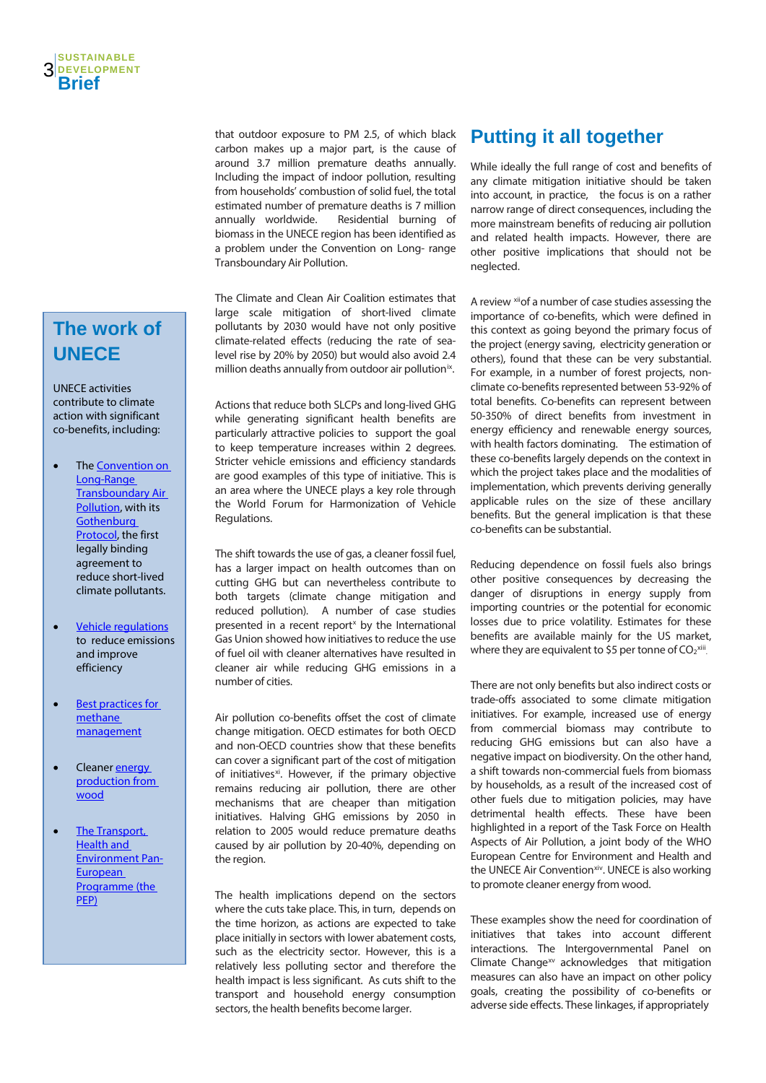## **The work of UNECE**

UNECE activities contribute to climate action with significant co-benefits, including:

- The Convention on [Long-Range](http://www.unece.org/env/lrtap/welcome.html)  **Transboundary Air** [Pollution,](http://www.unece.org/env/lrtap/welcome.html) with its **Gothenburg** [Protocol,](http://www.unece.org/environmental-policy/conventions/envlrtapwelcome/guidance-documents-and-other-methodological-materials/gothenburg-protocol.html) the first legally binding agreement to reduce short-lived climate pollutants.
- [Vehicle regulations](http://www.unece.org/trans/main/welcwp29.html) to reduce emissions and improve efficiency
- [Best practices for](http://www.unece.org/fileadmin/DAM/energy/se/pdfs/cmm/pub/BestPractGuide_MethDrain_es31.pdf)  [methane](http://www.unece.org/fileadmin/DAM/energy/se/pdfs/cmm/pub/BestPractGuide_MethDrain_es31.pdf)  [management](http://www.unece.org/fileadmin/DAM/energy/se/pdfs/cmm/pub/BestPractGuide_MethDrain_es31.pdf)
- Cleaner **energy** [production from](http://www.unece.org/forests/areas-of-work/markets/forestsfpmoutputs/wood-energy.html)  [wood](http://www.unece.org/forests/areas-of-work/markets/forestsfpmoutputs/wood-energy.html)
- [The Transport,](http://www.unece.org/thepep/en/welcome.html)  [Health and](http://www.unece.org/thepep/en/welcome.html)  [Environment Pan-](http://www.unece.org/thepep/en/welcome.html)**European** [Programme \(the](http://www.unece.org/thepep/en/welcome.html)  [PEP\)](http://www.unece.org/thepep/en/welcome.html)

that outdoor exposure to PM 2.5, of which black carbon makes up a major part, is the cause of around 3.7 million premature deaths annually. Including the impact of indoor pollution, resulting from households' combustion of solid fuel, the total estimated number of premature deaths is 7 million annually worldwide. Residential burning of biomass in the UNECE region has been identified as a problem under the Convention on Long- range Transboundary Air Pollution.

The Climate and Clean Air Coalition estimates that large scale mitigation of short-lived climate pollutants by 2030 would have not only positive climate-related effects (reducing the rate of sealevel rise by 20% by 2050) but would also avoid 2.4 million deaths annually from outdoor air pollution<sup>ix</sup>.

Actions that reduce both SLCPs and long-lived GHG while generating significant health benefits are particularly attractive policies to support the goal to keep temperature increases within 2 degrees. Stricter vehicle emissions and efficiency standards are good examples of this type of initiative. This is an area where the UNECE plays a key role through the World Forum for Harmonization of Vehicle Regulations.

The shift towards the use of gas, a cleaner fossil fuel, has a larger impact on health outcomes than on cutting GHG but can nevertheless contribute to both targets (climate change mitigation and reduced pollution). A number of case studies presented in a recent report<sup> $x$ </sup> by the International Gas Union showed how initiatives to reduce the use of fuel oil with cleaner alternatives have resulted in cleaner air while reducing GHG emissions in a number of cities.

Air pollution co-benefits offset the cost of climate change mitigation. OECD estimates for both OECD and non-OECD countries show that these benefits can cover a significant part of the cost of mitigation of initiatives<sup>xi</sup>. However, if the primary objective remains reducing air pollution, there are other mechanisms that are cheaper than mitigation initiatives. Halving GHG emissions by 2050 in relation to 2005 would reduce premature deaths caused by air pollution by 20-40%, depending on the region.

The health implications depend on the sectors where the cuts take place. This, in turn, depends on the time horizon, as actions are expected to take place initially in sectors with lower abatement costs, such as the electricity sector. However, this is a relatively less polluting sector and therefore the health impact is less significant. As cuts shift to the transport and household energy consumption sectors, the health benefits become larger.

## **Putting it all together**

While ideally the full range of cost and benefits of any climate mitigation initiative should be taken into account, in practice, the focus is on a rather narrow range of direct consequences, including the more mainstream benefits of reducing air pollution and related health impacts. However, there are other positive implications that should not be neglected.

A review [xiio](#page-4-11)f a number of case studies assessing the importance of co-benefits, which were defined in this context as going beyond the primary focus of the project (energy saving, electricity generation or others), found that these can be very substantial. For example, in a number of forest projects, nonclimate co-benefits represented between 53-92% of total benefits. Co-benefits can represent between 50-350% of direct benefits from investment in energy efficiency and renewable energy sources, with health factors dominating. The estimation of these co-benefits largely depends on the context in which the project takes place and the modalities of implementation, which prevents deriving generally applicable rules on the size of these ancillary benefits. But the general implication is that these co-benefits can be substantial.

Reducing dependence on fossil fuels also brings other positive consequences by decreasing the danger of disruptions in energy supply from importing countries or the potential for economic losses due to price volatility. Estimates for these benefits are available mainly for the US market, where they are equivalent to \$5 per tonne of  $CO<sub>2</sub>xiii}$ .

There are not only benefits but also indirect costs or trade-offs associated to some climate mitigation initiatives. For example, increased use of energy from commercial biomass may contribute to reducing GHG emissions but can also have a negative impact on biodiversity. On the other hand, a shift towards non-commercial fuels from biomass by households, as a result of the increased cost of other fuels due to mitigation policies, may have detrimental health effects. These have been highlighted in a report of the Task Force on Health Aspects of Air Pollution, a joint body of the WHO European Centre for Environment and Health and the UNECE Air Convention<sup>xiv</sup>. UNECE is also working to promote cleaner energy from wood.

These examples show the need for coordination of initiatives that takes into account different interactions. The Intergovernmental Panel on Climate Change $^{xy}$  acknowledges that mitigation measures can also have an impact on other policy goals, creating the possibility of co-benefits or adverse side effects. These linkages, if appropriately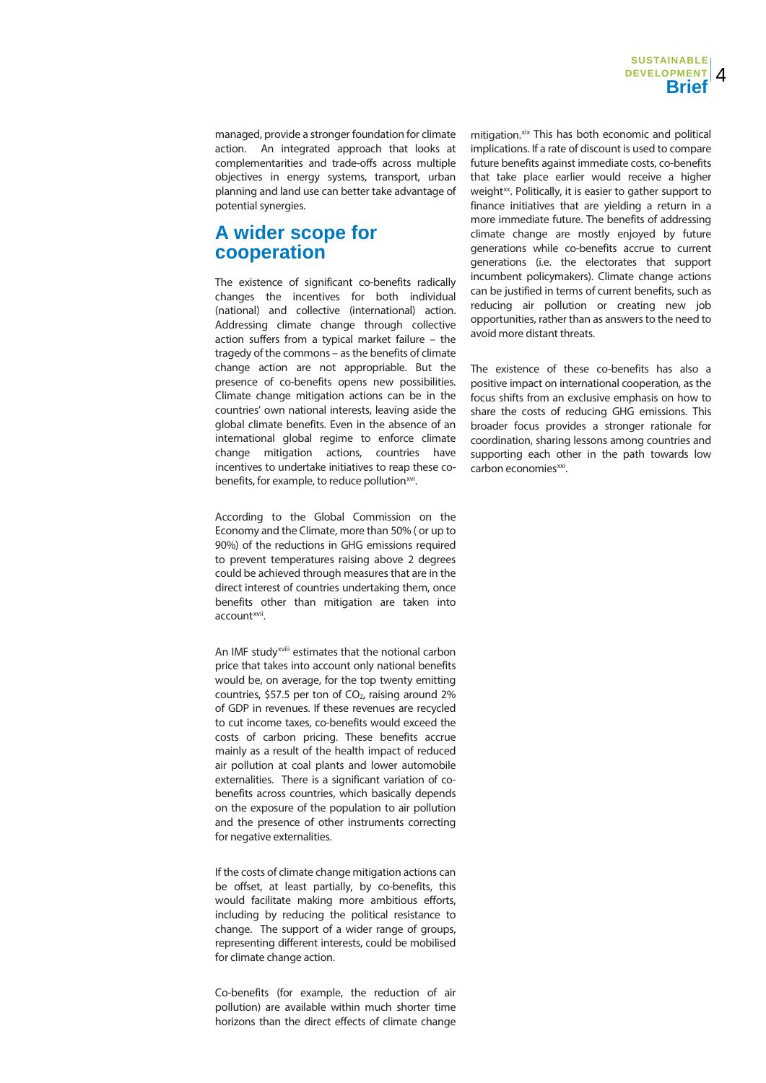managed, provide a stronger foundation for climate action. An integrated approach that looks at complementarities and trade-offs across multiple objectives in energy systems, transport, urban planning and land use can better take advantage of potential synergies.

#### **A wider scope for cooperation**

The existence of significant co-benefits radically changes the incentives for both individual (national) and collective (international) action. Addressing climate change through collective action suffers from a typical market failure – the tragedy of the commons – as the benefits of climate change action are not appropriable. But the presence of co-benefits opens new possibilities. Climate change mitigation actions can be in the countries' own national interests, leaving aside the global climate benefits. Even in the absence of an international global regime to enforce climate change mitigation actions, countries have incentives to undertake initiatives to reap these cobenefits, for example, to reduce pollution<sup>xvi</sup>.

According to the Global Commission on the Economy and the Climate, more than 50% ( or up to 90%) of the reductions in GHG emissions required to prevent temperatures raising above 2 degrees could be achieved through measures that are in the direct interest of countries undertaking them, once benefits other than mitigation are taken into account[xvii.](#page-4-16)

An IMF study<sup>xv[i](#page-4-17)ii</sup> estimates that the notional carbon price that takes into account only national benefits would be, on average, for the top twenty emitting countries, \$57.5 per ton of  $CO<sub>2</sub>$ , raising around 2% of GDP in revenues. If these revenues are recycled to cut income taxes, co-benefits would exceed the costs of carbon pricing. These benefits accrue mainly as a result of the health impact of reduced air pollution at coal plants and lower automobile externalities. There is a significant variation of cobenefits across countries, which basically depends on the exposure of the population to air pollution and the presence of other instruments correcting for negative externalities.

If the costs of climate change mitigation actions can be offset, at least partially, by co-benefits, this would facilitate making more ambitious efforts, including by reducing the political resistance to change. The support of a wider range of groups, representing different interests, could be mobilised for climate change action.

Co-benefits (for example, the reduction of air pollution) are available within much shorter time horizons than the direct effects of climate change mitigation.<sup>[xix](#page-4-18)</sup> This has both economic and political implications. If a rate of discount is used to compare future benefits against immediate costs, co-benefits that take place earlier would receive a higher weight<sup>xx</sup>. Politically, it is easier to gather support to finance initiatives that are yielding a return in a more immediate future. The benefits of addressing climate change are mostly enjoyed by future generations while co-benefits accrue to current generations (i.e. the electorates that support incumbent policymakers). Climate change actions can be justified in terms of current benefits, such as reducing air pollution or creating new job opportunities, rather than as answers to the need to avoid more distant threats.

The existence of these co-benefits has also a positive impact on international cooperation, as the focus shifts from an exclusive emphasis on how to share the costs of reducing GHG emissions. This broader focus provides a stronger rationale for coordination, sharing lessons among countries and supporting each other in the path towards low carbon economies<sup>xxi</sup>.